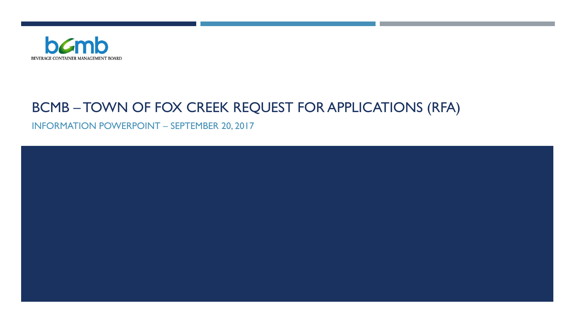

#### BCMB – TOWN OF FOX CREEK REQUEST FOR APPLICATIONS (RFA)

INFORMATION POWERPOINT – SEPTEMBER 20, 2017

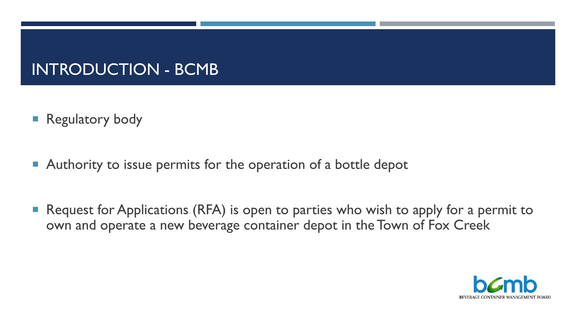### INTRODUCTION - BCMB

- **Regulatory body**
- **Authority to issue permits for the operation of a bottle depot**
- Request for Applications (RFA) is open to parties who wish to apply for a permit to own and operate a new beverage container depot in the Town of Fox Creek

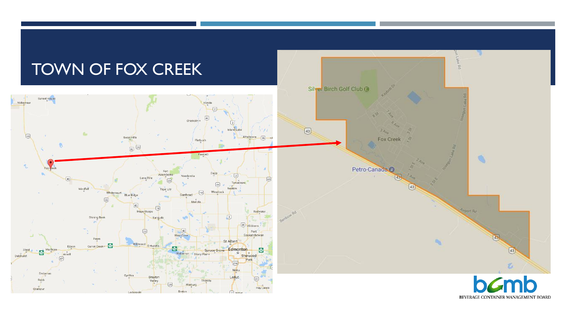

BEVERAGE CONTAINER MANAGEMENT BOARD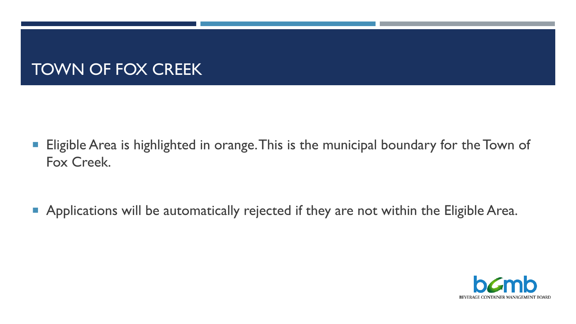### TOWN OF FOX CREEK

- **Eligible Area is highlighted in orange. This is the municipal boundary for the Town of** Fox Creek.
- **Applications will be automatically rejected if they are not within the Eligible Area.**

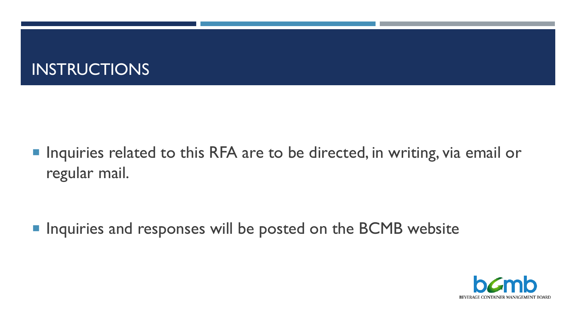

■ Inquiries related to this RFA are to be directed, in writing, via email or regular mail.

**IF Inquiries and responses will be posted on the BCMB website** 

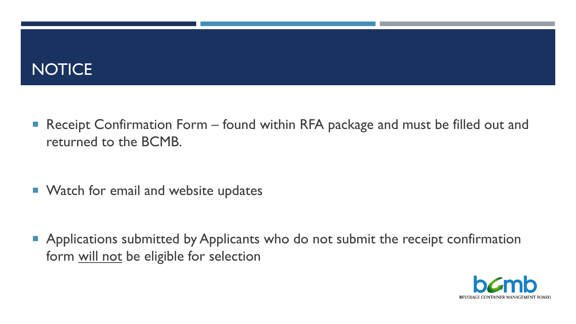### **NOTICE**

■ Receipt Confirmation Form – found within RFA package and must be filled out and returned to the BCMB.

■ Watch for email and website updates

**Applications submitted by Applicants who do not submit the receipt confirmation** form will not be eligible for selection

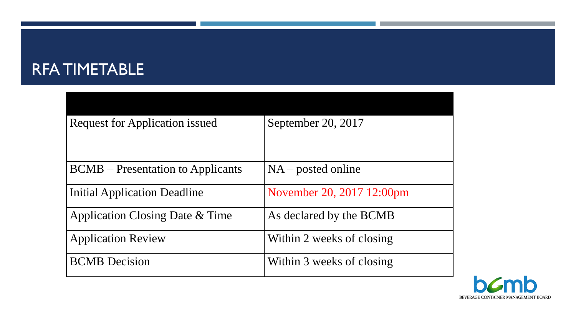### RFA TIMETABLE

| <b>Request for Application issued</b>      | September 20, 2017        |
|--------------------------------------------|---------------------------|
|                                            |                           |
| <b>BCMB</b> – Presentation to Applicants   | $NA$ – posted online      |
| <b>Initial Application Deadline</b>        | November 20, 2017 12:00pm |
| <b>Application Closing Date &amp; Time</b> | As declared by the BCMB   |
| <b>Application Review</b>                  | Within 2 weeks of closing |
| <b>BCMB</b> Decision                       | Within 3 weeks of closing |

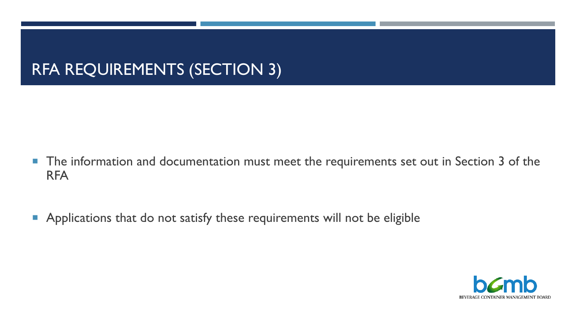- **The information and documentation must meet the requirements set out in Section 3 of the** RFA
- **Applications that do not satisfy these requirements will not be eligible**

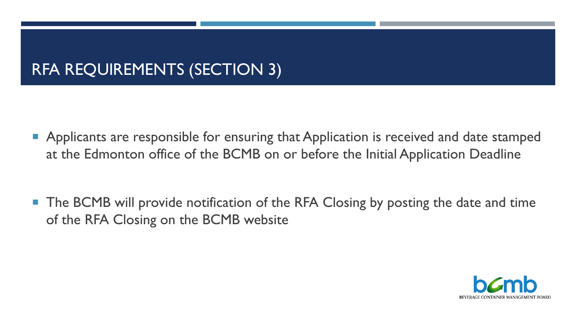**Applicants are responsible for ensuring that Application is received and date stamped** at the Edmonton office of the BCMB on or before the Initial Application Deadline

**The BCMB will provide notification of the RFA Closing by posting the date and time** of the RFA Closing on the BCMB website

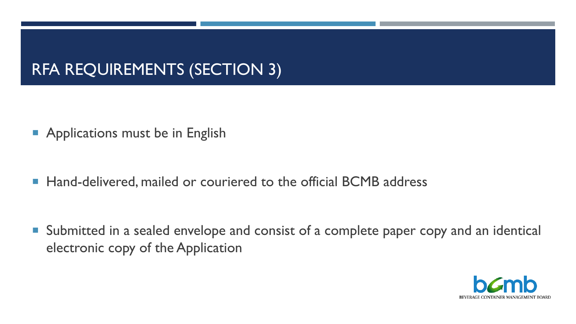- **Applications must be in English**
- Hand-delivered, mailed or couriered to the official BCMB address

■ Submitted in a sealed envelope and consist of a complete paper copy and an identical electronic copy of the Application

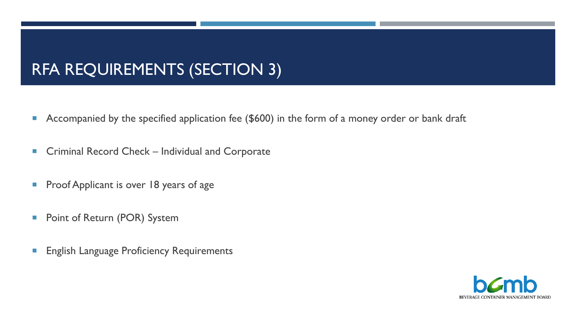- **Accompanied by the specified application fee (\$600) in the form of a money order or bank draft**
- Criminal Record Check Individual and Corporate
- **Proof Applicant is over 18 years of age**
- **Point of Return (POR) System**
- **English Language Proficiency Requirements**

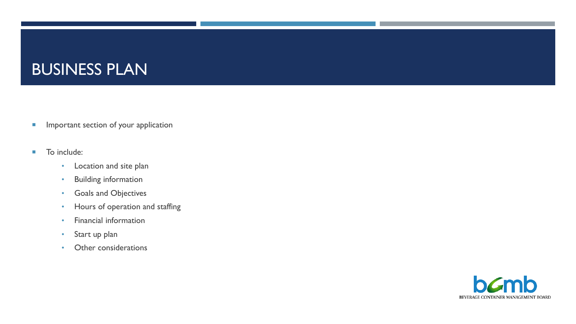### BUSINESS PLAN

- **Important section of your application**
- **To include:** 
	- Location and site plan
	- Building information
	- Goals and Objectives
	- Hours of operation and staffing
	- Financial information
	- Start up plan
	- Other considerations

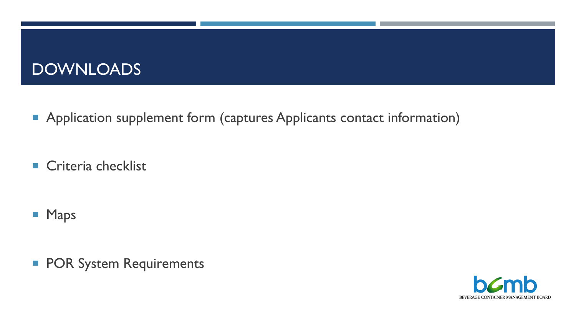### **DOWNLOADS**

**Application supplement form (captures Applicants contact information)** 

Criteria checklist

- **Maps**
- **POR System Requirements**

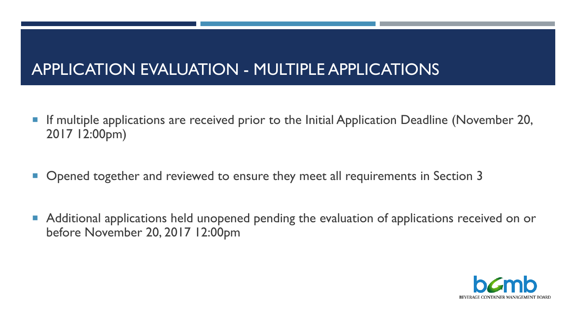# APPLICATION EVALUATION - MULTIPLE APPLICATIONS

- **If multiple applications are received prior to the Initial Application Deadline (November 20,** 2017 12:00pm)
- Opened together and reviewed to ensure they meet all requirements in Section 3
- **Additional applications held unopened pending the evaluation of applications received on or** before November 20, 2017 12:00pm

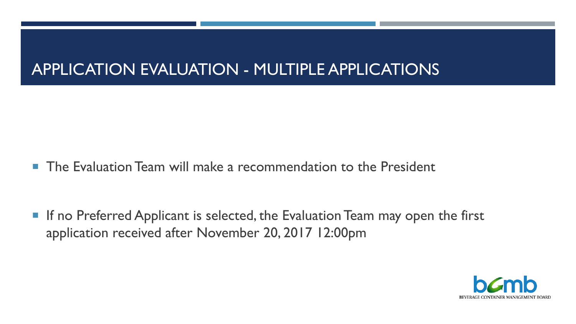# APPLICATION EVALUATION - MULTIPLE APPLICATIONS

**The Evaluation Team will make a recommendation to the President** 

■ If no Preferred Applicant is selected, the Evaluation Team may open the first application received after November 20, 2017 12:00pm

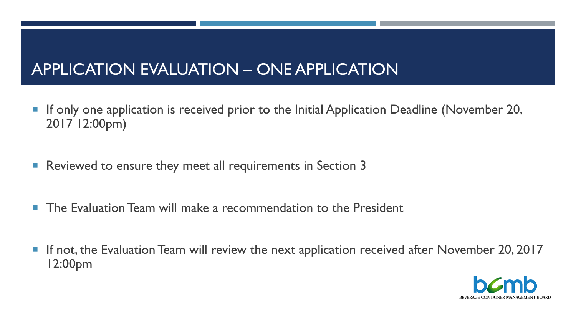# APPLICATION EVALUATION – ONE APPLICATION

- **If only one application is received prior to the Initial Application Deadline (November 20,** 2017 12:00pm)
- **Reviewed to ensure they meet all requirements in Section 3**
- **The Evaluation Team will make a recommendation to the President**
- **If not, the Evaluation Team will review the next application received after November 20, 2017** 12:00pm

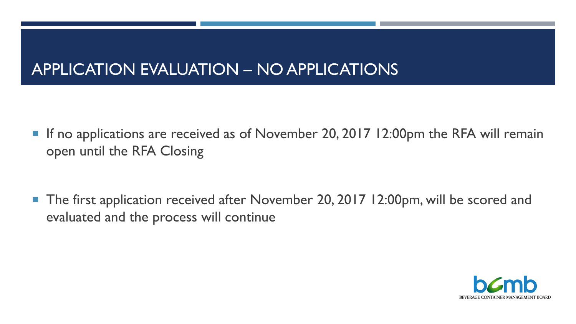# APPLICATION EVALUATION – NO APPLICATIONS

■ If no applications are received as of November 20, 2017 12:00pm the RFA will remain open until the RFA Closing

■ The first application received after November 20, 2017 12:00pm, will be scored and evaluated and the process will continue

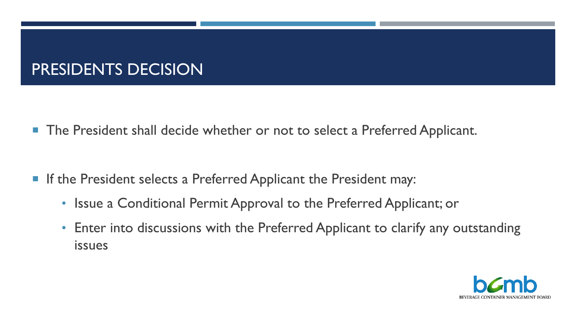# PRESIDENTS DECISION

**The President shall decide whether or not to select a Preferred Applicant.** 

- **If the President selects a Preferred Applicant the President may:** 
	- Issue a Conditional Permit Approval to the Preferred Applicant; or
	- Enter into discussions with the Preferred Applicant to clarify any outstanding issues

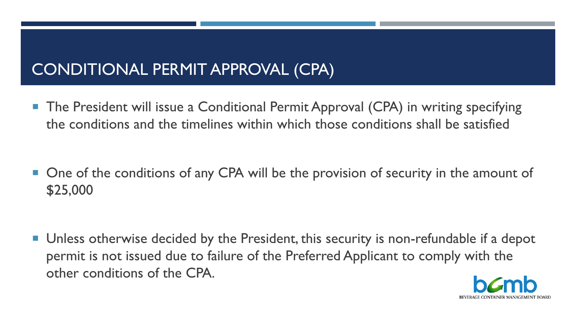### CONDITIONAL PERMIT APPROVAL (CPA)

 The President will issue a Conditional Permit Approval (CPA) in writing specifying the conditions and the timelines within which those conditions shall be satisfied

■ One of the conditions of any CPA will be the provision of security in the amount of \$25,000

**Unless otherwise decided by the President, this security is non-refundable if a depot** permit is not issued due to failure of the Preferred Applicant to comply with the other conditions of the CPA.

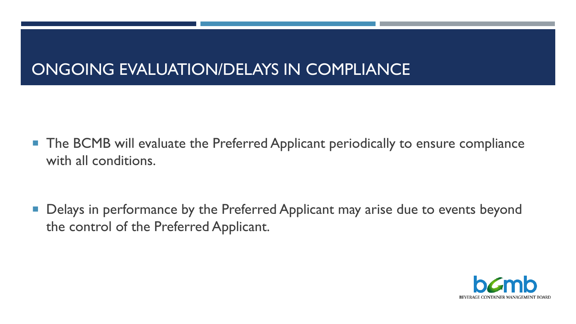# ONGOING EVALUATION/DELAYS IN COMPLIANCE

■ The BCMB will evaluate the Preferred Applicant periodically to ensure compliance with all conditions.

**• Delays in performance by the Preferred Applicant may arise due to events beyond** the control of the Preferred Applicant.

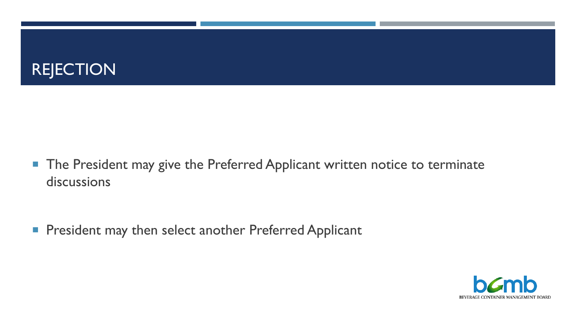

■ The President may give the Preferred Applicant written notice to terminate discussions

**President may then select another Preferred Applicant** 

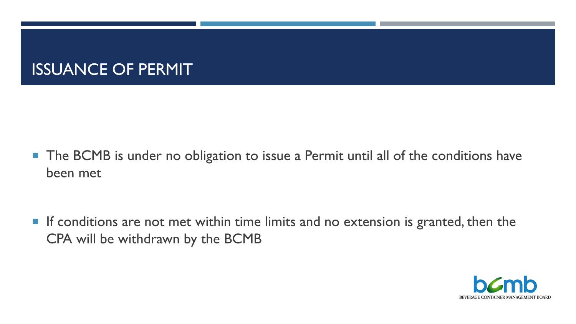### ISSUANCE OF PERMIT

■ The BCMB is under no obligation to issue a Permit until all of the conditions have been met

**If conditions are not met within time limits and no extension is granted, then the** CPA will be withdrawn by the BCMB

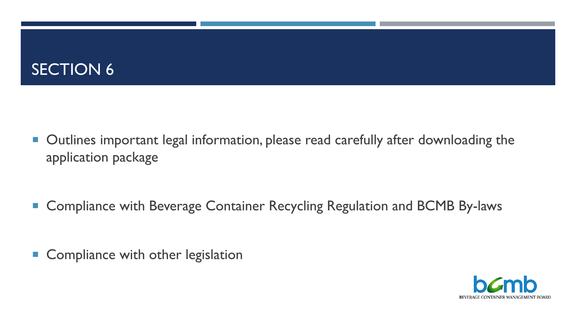# SECTION 6

- Outlines important legal information, please read carefully after downloading the application package
- Compliance with Beverage Container Recycling Regulation and BCMB By-laws
- Compliance with other legislation